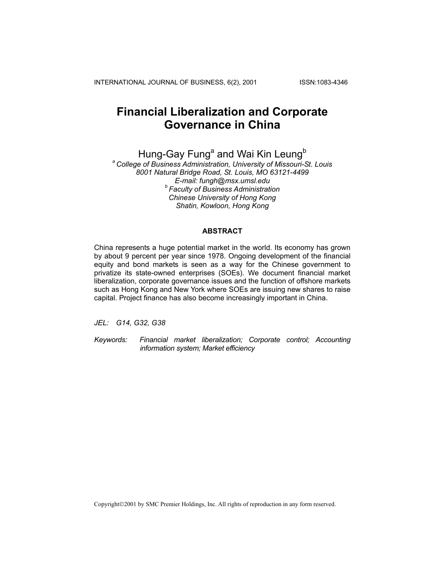INTERNATIONAL JOURNAL OF BUSINESS, 6(2), 2001 ISSN:1083-4346

# **Financial Liberalization and Corporate Governance in China**

Hung-Gay Fung<sup>a</sup> and Wai Kin Leung<sup>b</sup>

*a College of Business Administration, University of Missouri-St. Louis 8001 Natural Bridge Road, St. Louis, MO 63121-4499 E-mail: fungh@msx.umsl.edu b Faculty of Business Administration Chinese University of Hong Kong Shatin, Kowloon, Hong Kong* 

#### **ABSTRACT**

China represents a huge potential market in the world. Its economy has grown by about 9 percent per year since 1978. Ongoing development of the financial equity and bond markets is seen as a way for the Chinese government to privatize its state-owned enterprises (SOEs). We document financial market liberalization, corporate governance issues and the function of offshore markets such as Hong Kong and New York where SOEs are issuing new shares to raise capital. Project finance has also become increasingly important in China.

*JEL: G14, G32, G38* 

*Keywords: Financial market liberalization; Corporate control; Accounting information system; Market efficiency* 

Copyright©2001 by SMC Premier Holdings, Inc. All rights of reproduction in any form reserved.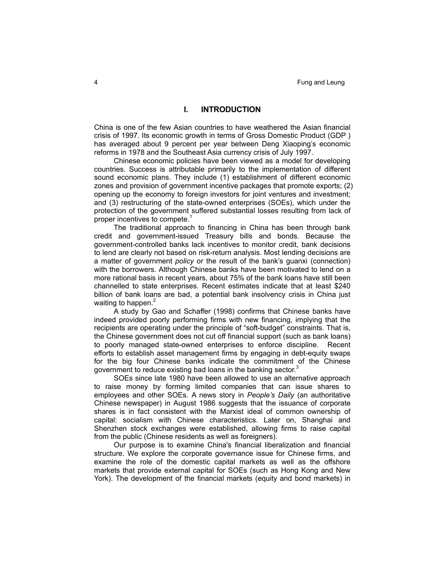#### **I. INTRODUCTION**

China is one of the few Asian countries to have weathered the Asian financial crisis of 1997. Its economic growth in terms of Gross Domestic Product (GDP ) has averaged about 9 percent per year between Deng Xiaoping's economic reforms in 1978 and the Southeast Asia currency crisis of July 1997.

Chinese economic policies have been viewed as a model for developing countries. Success is attributable primarily to the implementation of different sound economic plans. They include (1) establishment of different economic zones and provision of government incentive packages that promote exports; (2) opening up the economy to foreign investors for joint ventures and investment; and (3) restructuring of the state-owned enterprises (SOEs), which under the protection of the government suffered substantial losses resulting from lack of proper incentives to compete. $1$ 

The traditional approach to financing in China has been through bank credit and government-issued Treasury bills and bonds. Because the government-controlled banks lack incentives to monitor credit, bank decisions to lend are clearly not based on risk-return analysis. Most lending decisions are a matter of government *policy* or the result of the bank's guanxi (connection) with the borrowers. Although Chinese banks have been motivated to lend on a more rational basis in recent years, about 75% of the bank loans have still been channelled to state enterprises. Recent estimates indicate that at least \$240 billion of bank loans are bad, a potential bank insolvency crisis in China just waiting to happen.<sup>2</sup>

A study by Gao and Schaffer (1998) confirms that Chinese banks have indeed provided poorly performing firms with new financing, implying that the recipients are operating under the principle of "soft-budget" constraints. That is, the Chinese government does not cut off financial support (such as bank loans) to poorly managed state-owned enterprises to enforce discipline. Recent efforts to establish asset management firms by engaging in debt-equity swaps for the big four Chinese banks indicate the commitment of the Chinese government to reduce existing bad loans in the banking sector.<sup>3</sup>

SOEs since late 1980 have been allowed to use an alternative approach to raise money by forming limited companies that can issue shares to employees and other SOEs. A news story in *People's Daily* (an authoritative Chinese newspaper) in August 1986 suggests that the issuance of corporate shares is in fact consistent with the Marxist ideal of common ownership of capital: socialism with Chinese characteristics. Later on, Shanghai and Shenzhen stock exchanges were established, allowing firms to raise capital from the public (Chinese residents as well as foreigners).

Our purpose is to examine China's financial liberalization and financial structure. We explore the corporate governance issue for Chinese firms, and examine the role of the domestic capital markets as well as the offshore markets that provide external capital for SOEs (such as Hong Kong and New York). The development of the financial markets (equity and bond markets) in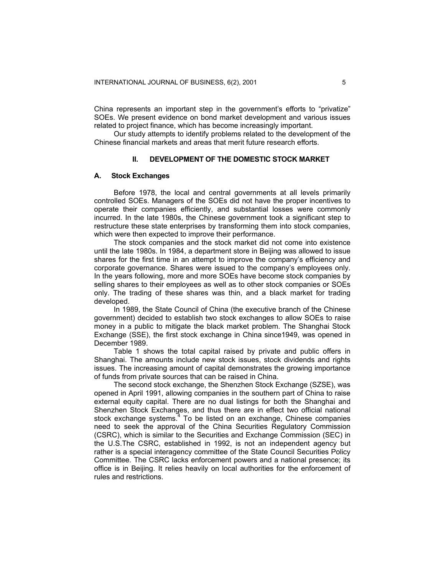China represents an important step in the government's efforts to "privatize" SOEs. We present evidence on bond market development and various issues related to project finance, which has become increasingly important.

Our study attempts to identify problems related to the development of the Chinese financial markets and areas that merit future research efforts.

#### **II. DEVELOPMENT OF THE DOMESTIC STOCK MARKET**

#### **A. Stock Exchanges**

Before 1978, the local and central governments at all levels primarily controlled SOEs. Managers of the SOEs did not have the proper incentives to operate their companies efficiently, and substantial losses were commonly incurred. In the late 1980s, the Chinese government took a significant step to restructure these state enterprises by transforming them into stock companies, which were then expected to improve their performance.

The stock companies and the stock market did not come into existence until the late 1980s. In 1984, a department store in Beijing was allowed to issue shares for the first time in an attempt to improve the company's efficiency and corporate governance. Shares were issued to the company's employees only. In the years following, more and more SOEs have become stock companies by selling shares to their employees as well as to other stock companies or SOEs only. The trading of these shares was thin, and a black market for trading developed.

In 1989, the State Council of China (the executive branch of the Chinese government) decided to establish two stock exchanges to allow SOEs to raise money in a public to mitigate the black market problem. The Shanghai Stock Exchange (SSE), the first stock exchange in China since1949, was opened in December 1989.

Table 1 shows the total capital raised by private and public offers in Shanghai. The amounts include new stock issues, stock dividends and rights issues. The increasing amount of capital demonstrates the growing importance of funds from private sources that can be raised in China.

The second stock exchange, the Shenzhen Stock Exchange (SZSE), was opened in April 1991, allowing companies in the southern part of China to raise external equity capital. There are no dual listings for both the Shanghai and Shenzhen Stock Exchanges, and thus there are in effect two official national stock exchange systems.<sup>4</sup> To be listed on an exchange, Chinese companies need to seek the approval of the China Securities Regulatory Commission (CSRC), which is similar to the Securities and Exchange Commission (SEC) in the U.S.The CSRC, established in 1992, is not an independent agency but rather is a special interagency committee of the State Council Securities Policy Committee. The CSRC lacks enforcement powers and a national presence; its office is in Beijing. It relies heavily on local authorities for the enforcement of rules and restrictions.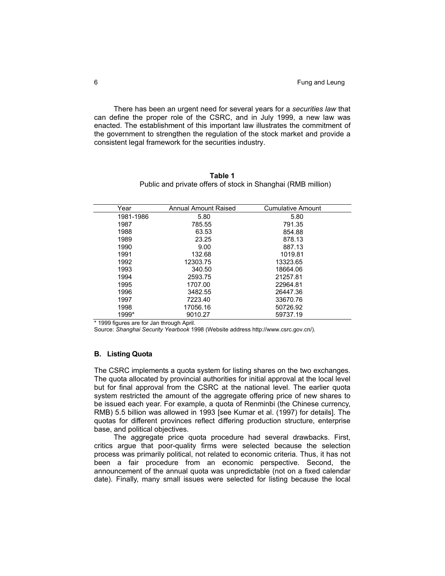There has been an urgent need for several years for a *securities law* that can define the proper role of the CSRC, and in July 1999, a new law was enacted. The establishment of this important law illustrates the commitment of the government to strengthen the regulation of the stock market and provide a consistent legal framework for the securities industry.

| Table 1                                                      |  |
|--------------------------------------------------------------|--|
| Public and private offers of stock in Shanghai (RMB million) |  |

| Year      | Annual Amount Raised | <b>Cumulative Amount</b> |  |
|-----------|----------------------|--------------------------|--|
| 1981-1986 | 5.80                 | 5.80                     |  |
| 1987      | 785.55               | 791.35                   |  |
| 1988      | 63.53                | 854.88                   |  |
| 1989      | 23.25                | 878.13                   |  |
| 1990      | 9.00                 | 887.13                   |  |
| 1991      | 132.68               | 1019.81                  |  |
| 1992      | 12303.75             | 13323.65                 |  |
| 1993      | 340.50               | 18664.06                 |  |
| 1994      | 2593.75              | 21257.81                 |  |
| 1995      | 1707.00              | 22964.81                 |  |
| 1996      | 3482.55              | 26447.36                 |  |
| 1997      | 7223.40              | 33670.76                 |  |
| 1998      | 17056.16             | 50726.92                 |  |
| 1999*     | 9010.27              | 59737.19                 |  |

\* 1999 figures are for Jan through April.

Source: *Shanghai Security Yearbook* 1998 (Website address http://www.csrc.gov.cn/).

#### **B. Listing Quota**

The CSRC implements a quota system for listing shares on the two exchanges. The quota allocated by provincial authorities for initial approval at the local level but for final approval from the CSRC at the national level. The earlier quota system restricted the amount of the aggregate offering price of new shares to be issued each year. For example, a quota of Renminbi (the Chinese currency, RMB) 5.5 billion was allowed in 1993 [see Kumar et al. (1997) for details]. The quotas for different provinces reflect differing production structure, enterprise base, and political objectives.

The aggregate price quota procedure had several drawbacks. First, critics argue that poor-quality firms were selected because the selection process was primarily political, not related to economic criteria. Thus, it has not been a fair procedure from an economic perspective. Second, the announcement of the annual quota was unpredictable (not on a fixed calendar date). Finally, many small issues were selected for listing because the local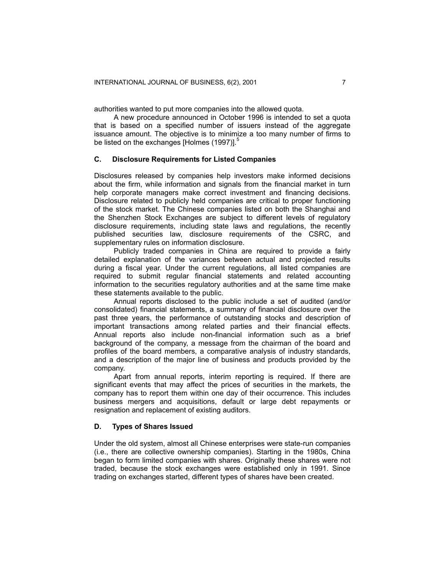authorities wanted to put more companies into the allowed quota.

A new procedure announced in October 1996 is intended to set a quota that is based on a specified number of issuers instead of the aggregate issuance amount. The objective is to minimize a too many number of firms to be listed on the exchanges [Holmes (1997)].<sup>5</sup>

#### **C. Disclosure Requirements for Listed Companies**

Disclosures released by companies help investors make informed decisions about the firm, while information and signals from the financial market in turn help corporate managers make correct investment and financing decisions. Disclosure related to publicly held companies are critical to proper functioning of the stock market. The Chinese companies listed on both the Shanghai and the Shenzhen Stock Exchanges are subject to different levels of regulatory disclosure requirements, including state laws and regulations, the recently published securities law, disclosure requirements of the CSRC, and supplementary rules on information disclosure.

Publicly traded companies in China are required to provide a fairly detailed explanation of the variances between actual and projected results during a fiscal year. Under the current regulations, all listed companies are required to submit regular financial statements and related accounting information to the securities regulatory authorities and at the same time make these statements available to the public.

Annual reports disclosed to the public include a set of audited (and/or consolidated) financial statements, a summary of financial disclosure over the past three years, the performance of outstanding stocks and description of important transactions among related parties and their financial effects. Annual reports also include non-financial information such as a brief background of the company, a message from the chairman of the board and profiles of the board members, a comparative analysis of industry standards, and a description of the major line of business and products provided by the company.

Apart from annual reports, interim reporting is required. If there are significant events that may affect the prices of securities in the markets, the company has to report them within one day of their occurrence. This includes business mergers and acquisitions, default or large debt repayments or resignation and replacement of existing auditors.

#### **D. Types of Shares Issued**

Under the old system, almost all Chinese enterprises were state-run companies (i.e., there are collective ownership companies). Starting in the 1980s, China began to form limited companies with shares. Originally these shares were not traded, because the stock exchanges were established only in 1991. Since trading on exchanges started, different types of shares have been created.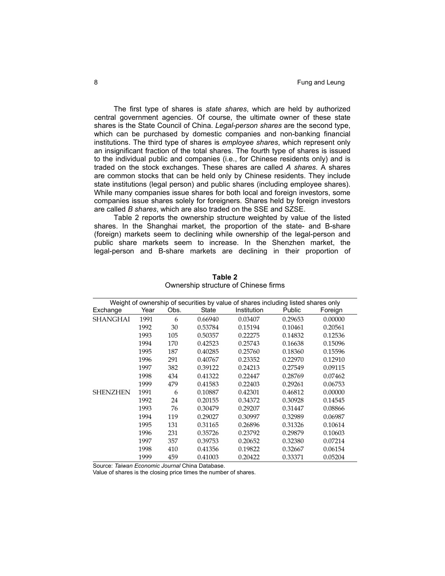The first type of shares is *state shares*, which are held by authorized central government agencies. Of course, the ultimate owner of these state shares is the State Council of China. *Legal-person shares* are the second type, which can be purchased by domestic companies and non-banking financial institutions. The third type of shares is *employee shares*, which represent only an insignificant fraction of the total shares. The fourth type of shares is issued to the individual public and companies (i.e., for Chinese residents only) and is traded on the stock exchanges. These shares are called *A shares*. A shares are common stocks that can be held only by Chinese residents. They include state institutions (legal person) and public shares (including employee shares). While many companies issue shares for both local and foreign investors, some companies issue shares solely for foreigners. Shares held by foreign investors are called *B shares*, which are also traded on the SSE and SZSE.

Table 2 reports the ownership structure weighted by value of the listed shares. In the Shanghai market, the proportion of the state- and B-share (foreign) markets seem to declining while ownership of the legal-person and public share markets seem to increase. In the Shenzhen market, the legal-person and B-share markets are declining in their proportion of

|                 | Weight of ownership of securities by value of shares including listed shares only |      |              |             |         |         |  |  |  |
|-----------------|-----------------------------------------------------------------------------------|------|--------------|-------------|---------|---------|--|--|--|
| Exchange        | Year                                                                              | Obs. | <b>State</b> | Institution | Public  | Foreign |  |  |  |
| <b>SHANGHAI</b> | 1991                                                                              | 6    | 0.66940      | 0.03407     | 0.29653 | 0.00000 |  |  |  |
|                 | 1992                                                                              | 30   | 0.53784      | 0.15194     | 0.10461 | 0.20561 |  |  |  |
|                 | 1993                                                                              | 105  | 0.50357      | 0.22275     | 0.14832 | 0.12536 |  |  |  |
|                 | 1994                                                                              | 170  | 0.42523      | 0.25743     | 0.16638 | 0.15096 |  |  |  |
|                 | 1995                                                                              | 187  | 0.40285      | 0.25760     | 0.18360 | 0.15596 |  |  |  |
|                 | 1996                                                                              | 291  | 0.40767      | 0.23352     | 0.22970 | 0.12910 |  |  |  |
|                 | 1997                                                                              | 382  | 0.39122      | 0.24213     | 0.27549 | 0.09115 |  |  |  |
|                 | 1998                                                                              | 434  | 0.41322      | 0.22447     | 0.28769 | 0.07462 |  |  |  |
|                 | 1999                                                                              | 479  | 0.41583      | 0.22403     | 0.29261 | 0.06753 |  |  |  |
| <b>SHENZHEN</b> | 1991                                                                              | 6    | 0.10887      | 0.42301     | 0.46812 | 0.00000 |  |  |  |
|                 | 1992                                                                              | 24   | 0.20155      | 0.34372     | 0.30928 | 0.14545 |  |  |  |
|                 | 1993                                                                              | 76   | 0.30479      | 0.29207     | 0.31447 | 0.08866 |  |  |  |
|                 | 1994                                                                              | 119  | 0.29027      | 0.30997     | 0.32989 | 0.06987 |  |  |  |
|                 | 1995                                                                              | 131  | 0.31165      | 0.26896     | 0.31326 | 0.10614 |  |  |  |
|                 | 1996                                                                              | 231  | 0.35726      | 0.23792     | 0.29879 | 0.10603 |  |  |  |
|                 | 1997                                                                              | 357  | 0.39753      | 0.20652     | 0.32380 | 0.07214 |  |  |  |
|                 | 1998                                                                              | 410  | 0.41356      | 0.19822     | 0.32667 | 0.06154 |  |  |  |
|                 | 1999                                                                              | 459  | 0.41003      | 0.20422     | 0.33371 | 0.05204 |  |  |  |

**Table 2**  Ownership structure of Chinese firms

Source: *Taiwan Economic Journal* China Database.

Value of shares is the closing price times the number of shares.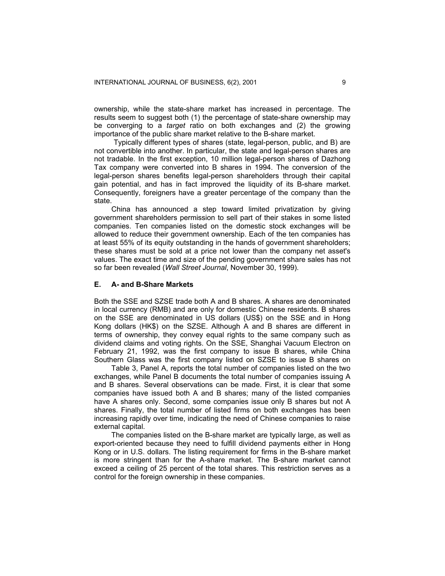ownership, while the state-share market has increased in percentage. The results seem to suggest both (1) the percentage of state-share ownership may be converging to a *target* ratio on both exchanges and (2) the growing importance of the public share market relative to the B-share market.

Typically different types of shares (state, legal-person, public, and B) are not convertible into another. In particular, the state and legal-person shares are not tradable. In the first exception, 10 million legal-person shares of Dazhong Tax company were converted into B shares in 1994. The conversion of the legal-person shares benefits legal-person shareholders through their capital gain potential, and has in fact improved the liquidity of its B-share market. Consequently, foreigners have a greater percentage of the company than the state.

China has announced a step toward limited privatization by giving government shareholders permission to sell part of their stakes in some listed companies. Ten companies listed on the domestic stock exchanges will be allowed to reduce their government ownership. Each of the ten companies has at least 55% of its equity outstanding in the hands of government shareholders; these shares must be sold at a price not lower than the company net asset's values. The exact time and size of the pending government share sales has not so far been revealed (*Wall Street Journal*, November 30, 1999).

## **E. A- and B-Share Markets**

Both the SSE and SZSE trade both A and B shares. A shares are denominated in local currency (RMB) and are only for domestic Chinese residents. B shares on the SSE are denominated in US dollars (US\$) on the SSE and in Hong Kong dollars (HK\$) on the SZSE. Although A and B shares are different in terms of ownership, they convey equal rights to the same company such as dividend claims and voting rights. On the SSE, Shanghai Vacuum Electron on February 21, 1992, was the first company to issue B shares, while China Southern Glass was the first company listed on SZSE to issue B shares on

 Table 3, Panel A, reports the total number of companies listed on the two exchanges, while Panel B documents the total number of companies issuing A and B shares. Several observations can be made. First, it is clear that some companies have issued both A and B shares; many of the listed companies have A shares only. Second, some companies issue only B shares but not A shares. Finally, the total number of listed firms on both exchanges has been increasing rapidly over time, indicating the need of Chinese companies to raise external capital.

 The companies listed on the B-share market are typically large, as well as export-oriented because they need to fulfill dividend payments either in Hong Kong or in U.S. dollars. The listing requirement for firms in the B-share market is more stringent than for the A-share market. The B-share market cannot exceed a ceiling of 25 percent of the total shares. This restriction serves as a control for the foreign ownership in these companies.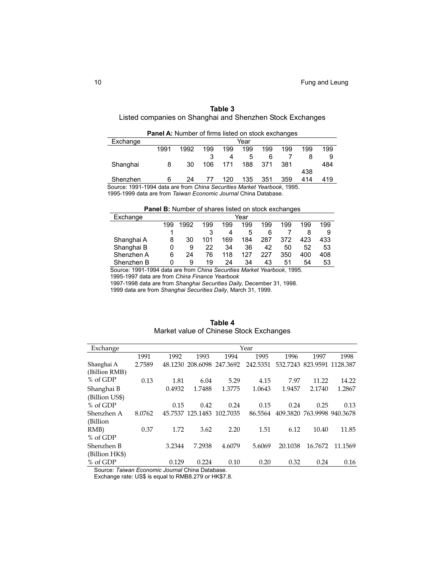# **Table 3**  Listed companies on Shanghai and Shenzhen Stock Exchanges

| <b>Panel A:</b> Number of firms listed on stock exchanges               |      |      |     |     |      |     |     |     |     |
|-------------------------------------------------------------------------|------|------|-----|-----|------|-----|-----|-----|-----|
| Exchange                                                                |      |      |     |     | Year |     |     |     |     |
|                                                                         | 1991 | 1992 | 199 | 199 | 199  | 199 | 199 | 199 | 199 |
|                                                                         |      |      |     | 4   | 5    | 6   |     | 8   | 9   |
| Shanghai                                                                | 8    | 30   | 106 | 171 | 188  | 371 | 381 |     | 484 |
|                                                                         |      |      |     |     |      |     |     | 438 |     |
| Shenzhen                                                                | 6    | 24   | 77  | 120 | 135  | 351 | 359 | 414 | 419 |
| Source: 1991-1994 data are from China Securities Market Yearbook, 1995. |      |      |     |     |      |     |     |     |     |

1995-1999 data are from *Taiwan Economic Journal* China Database.

**Panel B:** Number of shares listed on stock exchanges

| Exchange             | Year |     |        |            |     |     |                             |     |     |
|----------------------|------|-----|--------|------------|-----|-----|-----------------------------|-----|-----|
|                      | 199  | 992 | 199    | 199        | 199 | 199 | 199                         | 199 | 199 |
|                      |      |     |        | 4          | 5   | 6   |                             | 8   | 9   |
| Shanghai A           | 8    | 30  | 101    | 169        | 184 | 287 | 372                         | 423 | 433 |
| Shanghai B           | 0    | 9   | 22     | 34         | 36  | 42  | 50                          | 52  | 53  |
| Shenzhen A           | 6    | 24  | 76     | 118        | 127 | 227 | 350                         | 400 | 408 |
| Shenzhen B           | 0    | 9   | 19     | 24         | 34  | 43  | 51                          | 54  | 53  |
| $\sim$<br>1001110011 | . .  |     | $\sim$ | <br>$\sim$ | .   |     | $\sim$ $\sim$ $\sim$<br>. . |     |     |

Source: 1991-1994 data are from *China Securities Market Yearbook*, 1995.

1995-1997 data are from *China Finance Yearbook*

1997-1998 data are from *Shanghai Securities Daily*, December 31, 1998.

1999 data are from *Shanghai Securities Daily*, March 31, 1999.

| Exchange       | Year   |         |                  |          |          |          |          |                   |
|----------------|--------|---------|------------------|----------|----------|----------|----------|-------------------|
|                | 1991   | 1992    | 1993             | 1994     | 1995     | 1996     | 1997     | 1998              |
| Shanghai A     | 2.7589 | 48.1230 | 208.6098         | 247.3692 | 242.5351 | 532.7243 | 823.9591 | 1128.387          |
| (Billion RMB)  |        |         |                  |          |          |          |          |                   |
| % of GDP       | 0.13   | 1.81    | 6.04             | 5.29     | 4.15     | 7.97     | 11.22    | 14.22             |
| Shanghai B     |        | 0.4932  | 1.7488           | 1.3775   | 1.0643   | 1.9457   | 2.1740   | 1.2867            |
| (Billion US\$) |        |         |                  |          |          |          |          |                   |
| % of GDP       |        | 0.15    | 0.42             | 0.24     | 0.15     | 0.24     | 0.25     | 0.13              |
| Shenzhen A     | 8.0762 |         | 45.7537 125.1483 | 102.7035 | 86.5564  | 409.3820 |          | 763.9998 940.3678 |
| (Billion       |        |         |                  |          |          |          |          |                   |
| $RMB$ )        | 0.37   | 1.72    | 3.62             | 2.20     | 1.51     | 6.12     | 10.40    | 11.85             |
| % of GDP       |        |         |                  |          |          |          |          |                   |
| Shenzhen B     |        | 3.2344  | 7.2938           | 4.6079   | 5.6069   | 20.1038  | 16.7672  | 11.1569           |
| (Billion HK\$) |        |         |                  |          |          |          |          |                   |
| % of GDP       |        | 0.129   | 0.224            | 0.10     | 0.20     | 0.32     | 0.24     | 0.16              |

| Table 4                                 |
|-----------------------------------------|
| Market value of Chinese Stock Exchanges |

Source: *Taiwan Economic Journal* China Database.

Exchange rate: US\$ is equal to RMB8.279 or HK\$7.8.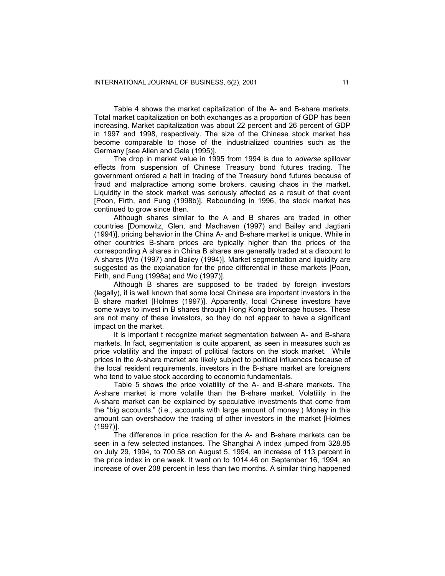Table 4 shows the market capitalization of the A- and B-share markets. Total market capitalization on both exchanges as a proportion of GDP has been increasing. Market capitalization was about 22 percent and 26 percent of GDP in 1997 and 1998, respectively. The size of the Chinese stock market has become comparable to those of the industrialized countries such as the Germany [see Allen and Gale (1995)].

The drop in market value in 1995 from 1994 is due to *adverse* spillover effects from suspension of Chinese Treasury bond futures trading. The government ordered a halt in trading of the Treasury bond futures because of fraud and malpractice among some brokers, causing chaos in the market. Liquidity in the stock market was seriously affected as a result of that event [Poon, Firth, and Fung (1998b)]. Rebounding in 1996, the stock market has continued to grow since then.

Although shares similar to the A and B shares are traded in other countries [Domowitz, Glen, and Madhaven (1997) and Bailey and Jagtiani (1994)], pricing behavior in the China A- and B-share market is unique. While in other countries B-share prices are typically higher than the prices of the corresponding A shares in China B shares are generally traded at a discount to A shares [Wo (1997) and Bailey (1994)]. Market segmentation and liquidity are suggested as the explanation for the price differential in these markets [Poon, Firth, and Fung (1998a) and Wo (1997)].

Although B shares are supposed to be traded by foreign investors (legally), it is well known that some local Chinese are important investors in the B share market [Holmes (1997)]. Apparently, local Chinese investors have some ways to invest in B shares through Hong Kong brokerage houses. These are not many of these investors, so they do not appear to have a significant impact on the market.

It is important t recognize market segmentation between A- and B-share markets. In fact, segmentation is quite apparent, as seen in measures such as price volatility and the impact of political factors on the stock market. While prices in the A-share market are likely subject to political influences because of the local resident requirements, investors in the B-share market are foreigners who tend to value stock according to economic fundamentals.

Table 5 shows the price volatility of the A- and B-share markets. The A-share market is more volatile than the B-share market. Volatility in the A-share market can be explained by speculative investments that come from the "big accounts." (i.e., accounts with large amount of money.) Money in this amount can overshadow the trading of other investors in the market [Holmes (1997)].

The difference in price reaction for the A- and B-share markets can be seen in a few selected instances. The Shanghai A index jumped from 328.85 on July 29, 1994, to 700.58 on August 5, 1994, an increase of 113 percent in the price index in one week. It went on to 1014.46 on September 16, 1994, an increase of over 208 percent in less than two months. A similar thing happened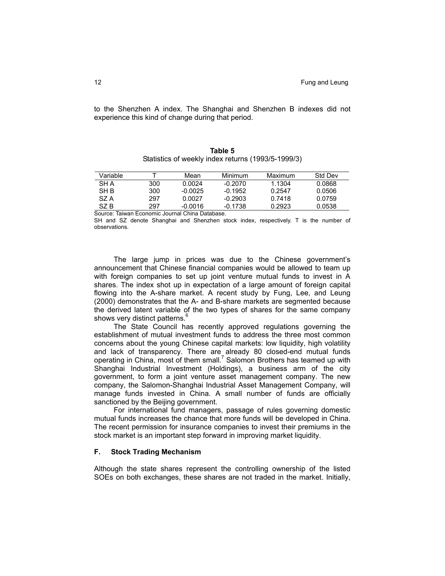to the Shenzhen A index. The Shanghai and Shenzhen B indexes did not experience this kind of change during that period.

|            |     |           |           | <u>Uldistres Of Weekly finacx retains (1999/9-1999/9)</u> |                |
|------------|-----|-----------|-----------|-----------------------------------------------------------|----------------|
| Variable   |     | Mean      | Minimum   | Maximum                                                   | <b>Std Dev</b> |
| <b>SHA</b> | 300 | 0.0024    | $-0.2070$ | 1.1304                                                    | 0.0868         |
| SH B       | 300 | $-0.0025$ | $-0.1952$ | 0.2547                                                    | 0.0506         |
| SZ A       | 297 | 0.0027    | $-0.2903$ | 0.7418                                                    | 0.0759         |

**Table 5**  Statistics of weekly index returns (1993/5-1999/3)

Source: Taiwan Economic Journal China Database.

SH and SZ denote Shanghai and Shenzhen stock index, respectively. T is the number of observations.

SZ B 297 -0.0016 -0.1738 0.2923 0.0538

The large jump in prices was due to the Chinese government's announcement that Chinese financial companies would be allowed to team up with foreign companies to set up joint venture mutual funds to invest in A shares. The index shot up in expectation of a large amount of foreign capital flowing into the A-share market. A recent study by Fung, Lee, and Leung (2000) demonstrates that the A- and B-share markets are segmented because the derived latent variable of the two types of shares for the same company shows very distinct patterns.<sup>6</sup>

The State Council has recently approved regulations governing the establishment of mutual investment funds to address the three most common concerns about the young Chinese capital markets: low liquidity, high volatility and lack of transparency. There are already 80 closed-end mutual funds operating in China, most of them small.<sup>7</sup> Salomon Brothers has teamed up with Shanghai Industrial Investment (Holdings), a business arm of the city government, to form a joint venture asset management company. The new company, the Salomon-Shanghai Industrial Asset Management Company, will manage funds invested in China. A small number of funds are officially sanctioned by the Beijing government.

For international fund managers, passage of rules governing domestic mutual funds increases the chance that more funds will be developed in China. The recent permission for insurance companies to invest their premiums in the stock market is an important step forward in improving market liquidity.

## **F. Stock Trading Mechanism**

Although the state shares represent the controlling ownership of the listed SOEs on both exchanges, these shares are not traded in the market. Initially,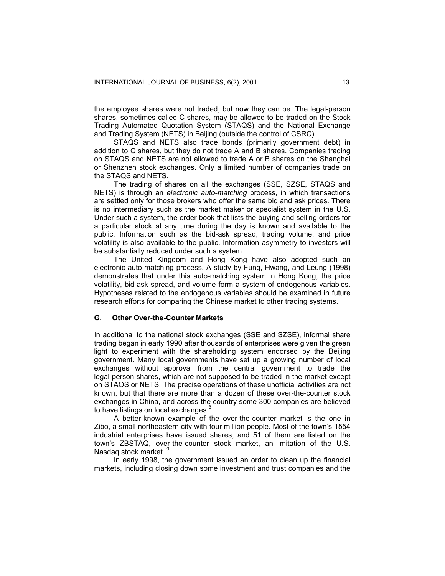the employee shares were not traded, but now they can be. The legal-person shares, sometimes called C shares, may be allowed to be traded on the Stock Trading Automated Quotation System (STAQS) and the National Exchange and Trading System (NETS) in Beijing (outside the control of CSRC).

STAQS and NETS also trade bonds (primarily government debt) in addition to C shares, but they do not trade A and B shares. Companies trading on STAQS and NETS are not allowed to trade A or B shares on the Shanghai or Shenzhen stock exchanges. Only a limited number of companies trade on the STAQS and NETS.

The trading of shares on all the exchanges (SSE, SZSE, STAQS and NETS) is through an *electronic auto-matching* process, in which transactions are settled only for those brokers who offer the same bid and ask prices. There is no intermediary such as the market maker or specialist system in the U.S. Under such a system, the order book that lists the buying and selling orders for a particular stock at any time during the day is known and available to the public. Information such as the bid-ask spread, trading volume, and price volatility is also available to the public. Information asymmetry to investors will be substantially reduced under such a system.

The United Kingdom and Hong Kong have also adopted such an electronic auto-matching process. A study by Fung, Hwang, and Leung (1998) demonstrates that under this auto-matching system in Hong Kong, the price volatility, bid-ask spread, and volume form a system of endogenous variables. Hypotheses related to the endogenous variables should be examined in future research efforts for comparing the Chinese market to other trading systems.

## **G. Other Over-the-Counter Markets**

In additional to the national stock exchanges (SSE and SZSE), informal share trading began in early 1990 after thousands of enterprises were given the green light to experiment with the shareholding system endorsed by the Beijing government. Many local governments have set up a growing number of local exchanges without approval from the central government to trade the legal-person shares, which are not supposed to be traded in the market except on STAQS or NETS. The precise operations of these unofficial activities are not known, but that there are more than a dozen of these over-the-counter stock exchanges in China, and across the country some 300 companies are believed to have listings on local exchanges.<sup>8</sup>

A better-known example of the over-the-counter market is the one in Zibo, a small northeastern city with four million people. Most of the town's 1554 industrial enterprises have issued shares, and 51 of them are listed on the town's ZBSTAQ, over-the-counter stock market, an imitation of the U.S. Nasdaq stock market. 9

In early 1998, the government issued an order to clean up the financial markets, including closing down some investment and trust companies and the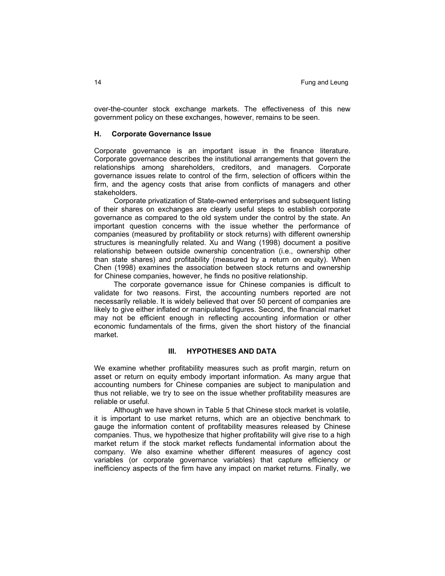over-the-counter stock exchange markets. The effectiveness of this new government policy on these exchanges, however, remains to be seen.

#### **H. Corporate Governance Issue**

Corporate governance is an important issue in the finance literature. Corporate governance describes the institutional arrangements that govern the relationships among shareholders, creditors, and managers. Corporate governance issues relate to control of the firm, selection of officers within the firm, and the agency costs that arise from conflicts of managers and other stakeholders.

Corporate privatization of State-owned enterprises and subsequent listing of their shares on exchanges are clearly useful steps to establish corporate governance as compared to the old system under the control by the state. An important question concerns with the issue whether the performance of companies (measured by profitability or stock returns) with different ownership structures is meaningfully related. Xu and Wang (1998) document a positive relationship between outside ownership concentration (i.e., ownership other than state shares) and profitability (measured by a return on equity). When Chen (1998) examines the association between stock returns and ownership for Chinese companies, however, he finds no positive relationship.

The corporate governance issue for Chinese companies is difficult to validate for two reasons. First, the accounting numbers reported are not necessarily reliable. It is widely believed that over 50 percent of companies are likely to give either inflated or manipulated figures. Second, the financial market may not be efficient enough in reflecting accounting information or other economic fundamentals of the firms, given the short history of the financial market.

## **III. HYPOTHESES AND DATA**

We examine whether profitability measures such as profit margin, return on asset or return on equity embody important information. As many argue that accounting numbers for Chinese companies are subject to manipulation and thus not reliable, we try to see on the issue whether profitability measures are reliable or useful.

Although we have shown in Table 5 that Chinese stock market is volatile, it is important to use market returns, which are an objective benchmark to gauge the information content of profitability measures released by Chinese companies. Thus, we hypothesize that higher profitability will give rise to a high market return if the stock market reflects fundamental information about the company. We also examine whether different measures of agency cost variables (or corporate governance variables) that capture efficiency or inefficiency aspects of the firm have any impact on market returns. Finally, we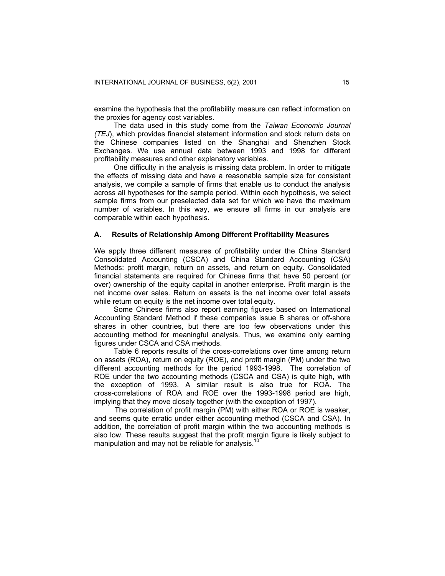examine the hypothesis that the profitability measure can reflect information on the proxies for agency cost variables.

The data used in this study come from the *Taiwan Economic Journal (TEJ*), which provides financial statement information and stock return data on the Chinese companies listed on the Shanghai and Shenzhen Stock Exchanges. We use annual data between 1993 and 1998 for different profitability measures and other explanatory variables.

One difficulty in the analysis is missing data problem. In order to mitigate the effects of missing data and have a reasonable sample size for consistent analysis, we compile a sample of firms that enable us to conduct the analysis across all hypotheses for the sample period. Within each hypothesis, we select sample firms from our preselected data set for which we have the maximum number of variables. In this way, we ensure all firms in our analysis are comparable within each hypothesis.

#### **A. Results of Relationship Among Different Profitability Measures**

We apply three different measures of profitability under the China Standard Consolidated Accounting (CSCA) and China Standard Accounting (CSA) Methods: profit margin, return on assets, and return on equity. Consolidated financial statements are required for Chinese firms that have 50 percent (or over) ownership of the equity capital in another enterprise. Profit margin is the net income over sales. Return on assets is the net income over total assets while return on equity is the net income over total equity.

Some Chinese firms also report earning figures based on International Accounting Standard Method if these companies issue B shares or off-shore shares in other countries, but there are too few observations under this accounting method for meaningful analysis. Thus, we examine only earning figures under CSCA and CSA methods.

Table 6 reports results of the cross-correlations over time among return on assets (ROA), return on equity (ROE), and profit margin (PM) under the two different accounting methods for the period 1993-1998. The correlation of ROE under the two accounting methods (CSCA and CSA) is quite high, with the exception of 1993. A similar result is also true for ROA. The cross-correlations of ROA and ROE over the 1993-1998 period are high, implying that they move closely together (with the exception of 1997).

 The correlation of profit margin (PM) with either ROA or ROE is weaker, and seems quite erratic under either accounting method (CSCA and CSA). In addition, the correlation of profit margin within the two accounting methods is also low. These results suggest that the profit margin figure is likely subject to manipulation and may not be reliable for analysis.<sup>10</sup>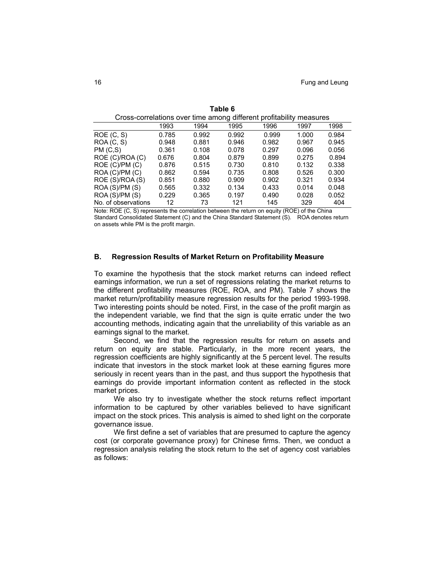| Cross-correlations over time among different profitability measures |       |       |       |       |       |       |  |  |
|---------------------------------------------------------------------|-------|-------|-------|-------|-------|-------|--|--|
|                                                                     | 1993  | 1994  | 1995  | 1996  | 1997  | 1998  |  |  |
| ROE(C, S)                                                           | 0.785 | 0.992 | 0.992 | 0.999 | 1.000 | 0.984 |  |  |
| ROA (C, S)                                                          | 0.948 | 0.881 | 0.946 | 0.982 | 0.967 | 0.945 |  |  |
| PM (C,S)                                                            | 0.361 | 0.108 | 0.078 | 0.297 | 0.096 | 0.056 |  |  |
| ROE (C)/ROA (C)                                                     | 0.676 | 0.804 | 0.879 | 0.899 | 0.275 | 0.894 |  |  |
| ROE (C)/PM (C)                                                      | 0.876 | 0.515 | 0.730 | 0.810 | 0.132 | 0.338 |  |  |
| ROA (C)/PM (C)                                                      | 0.862 | 0.594 | 0.735 | 0.808 | 0.526 | 0.300 |  |  |
| ROE (S)/ROA (S)                                                     | 0.851 | 0.880 | 0.909 | 0.902 | 0.321 | 0.934 |  |  |
| ROA(S)/PM(S)                                                        | 0.565 | 0.332 | 0.134 | 0.433 | 0.014 | 0.048 |  |  |
| ROA(S)/PM(S)                                                        | 0.229 | 0.365 | 0.197 | 0.490 | 0.028 | 0.052 |  |  |
| No. of observations                                                 | 12    | 73    | 121   | 145   | 329   | 404   |  |  |

| Table 6                                                             |
|---------------------------------------------------------------------|
| Cross-correlations over time among different profitability measures |

Note: ROE (C, S) represents the correlation between the return on equity (ROE) of the China Standard Consolidated Statement (C) and the China Standard Statement (S). ROA denotes return on assets while PM is the profit margin.

# **B. Regression Results of Market Return on Profitability Measure**

To examine the hypothesis that the stock market returns can indeed reflect earnings information, we run a set of regressions relating the market returns to the different profitability measures (ROE, ROA, and PM). Table 7 shows the market return/profitability measure regression results for the period 1993-1998. Two interesting points should be noted. First, in the case of the profit margin as the independent variable, we find that the sign is quite erratic under the two accounting methods, indicating again that the unreliability of this variable as an earnings signal to the market.

Second, we find that the regression results for return on assets and return on equity are stable. Particularly, in the more recent years, the regression coefficients are highly significantly at the 5 percent level. The results indicate that investors in the stock market look at these earning figures more seriously in recent years than in the past, and thus support the hypothesis that earnings do provide important information content as reflected in the stock market prices.

We also try to investigate whether the stock returns reflect important information to be captured by other variables believed to have significant impact on the stock prices. This analysis is aimed to shed light on the corporate governance issue.

We first define a set of variables that are presumed to capture the agency cost (or corporate governance proxy) for Chinese firms. Then, we conduct a regression analysis relating the stock return to the set of agency cost variables as follows: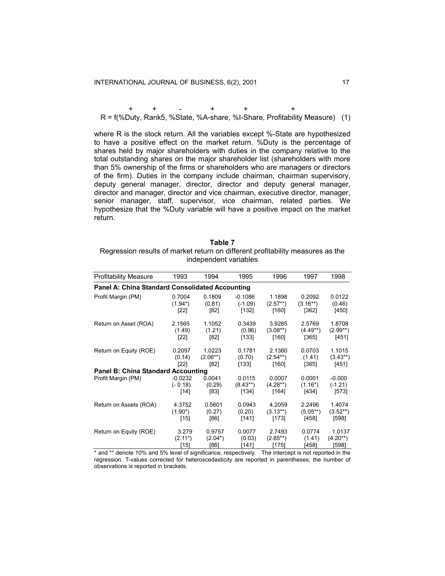+ + - + + + R = f(%Duty, Rank5, %State, %A-share, %I-Share, Profitability Measure) (1)

where R is the stock return. All the variables except %-State are hypothesized to have a positive effect on the market return. %Duty is the percentage of shares held by major shareholders with duties in the company relative to the total outstanding shares on the major shareholder list (shareholders with more than 5% ownership of the firms or shareholders who are managers or directors of the firm). Duties in the company include chairman, chairman supervisory, deputy general manager, director, director and deputy general manager, director and manager, director and vice chairman, executive director, manager, senior manager, staff, supervisor, vice chairman, related parties. We hypothesize that the %Duty variable will have a positive impact on the market return.

| Table 7                                                                        |  |  |  |  |  |  |
|--------------------------------------------------------------------------------|--|--|--|--|--|--|
| Regression results of market return on different profitability measures as the |  |  |  |  |  |  |
| independent variables                                                          |  |  |  |  |  |  |

| <b>Profitability Measure</b>                           | 1993       | 1994       | 1995       | 1996       | 1997       | 1998       |  |  |  |  |
|--------------------------------------------------------|------------|------------|------------|------------|------------|------------|--|--|--|--|
| <b>Panel A: China Standard Consolidated Accounting</b> |            |            |            |            |            |            |  |  |  |  |
| Profit Margin (PM)                                     | 0.7004     | 0.1809     | $-0.1086$  | 1.1898     | 0.2092     | 0.0122     |  |  |  |  |
|                                                        | $(1.94^*)$ | (0.81)     | $(-1.09)$  | $(2.57**)$ | $(3.16**)$ | (0.46)     |  |  |  |  |
|                                                        | $[22]$     | [82]       | [132]      | [160]      | [362]      | [450]      |  |  |  |  |
| Return on Asset (ROA)                                  | 2.1565     | 1.1052     | 0.3439     | 3.9285     | 2.5769     | 1.8708     |  |  |  |  |
|                                                        | (1.49)     | (1.21)     | (0.96)     | $(3.08**)$ | $(4.49**)$ | $(2.99**)$ |  |  |  |  |
|                                                        | $[22]$     | [82]       | [133]      | [160]      | [365]      | [451]      |  |  |  |  |
| Return on Equity (ROE)                                 | 0.2097     | 1.0223     | 0.1781     | 2.1360     | 0.0703     | 1.1015     |  |  |  |  |
|                                                        | (0.14)     | $(2.06**)$ | (0.70)     | $(2.54**)$ | (1.41)     | $(3.43**)$ |  |  |  |  |
|                                                        | [22]       | [82]       | [133]      | [160]      | [365]      | [451]      |  |  |  |  |
| <b>Panel B: China Standard Accounting</b>              |            |            |            |            |            |            |  |  |  |  |
| Profit Margin (PM)                                     | $-0.0232$  | 0.0041     | 0.0115     | 0.0007     | 0.0001     | $-0.000$   |  |  |  |  |
|                                                        | $(-0.18)$  | (0.29)     | $(8.43**)$ | $(4.28**)$ | $(1.16^*)$ | $(-1.21)$  |  |  |  |  |
|                                                        | $[14]$     | $[83]$     | [134]      | [164]      | [434]      | $[573]$    |  |  |  |  |
| Return on Assets (ROA)                                 | 4.3752     | 0.5601     | 0.0943     | 4.2059     | 2.2496     | 1.4074     |  |  |  |  |
|                                                        | $(1.90^*)$ | (0.27)     | (0.20)     | $(3.13**)$ | $(5.05**)$ | $(3.52**)$ |  |  |  |  |
|                                                        | [15]       | [86]       | [141]      | [173]      | [458]      | [598]      |  |  |  |  |
| Return on Equity (ROE)                                 | 3.279      | 0.9757     | 0.0077     | 2.7493     | 0.0774     | 1.0137     |  |  |  |  |
|                                                        | $(2.11^*)$ | $(2.04^*)$ | (0.03)     | $(2.85**)$ | (1.41)     | $(4.20**)$ |  |  |  |  |
|                                                        | [15]       | [86]       | [141]      | [175]      | [458]      | [598]      |  |  |  |  |

\* and \*\* denote 10% and 5% level of significance, respectively. The intercept is not reported in the regression. T-values corrected for heteroscedasticity are reported in parentheses; the number of observations is reported in brackets.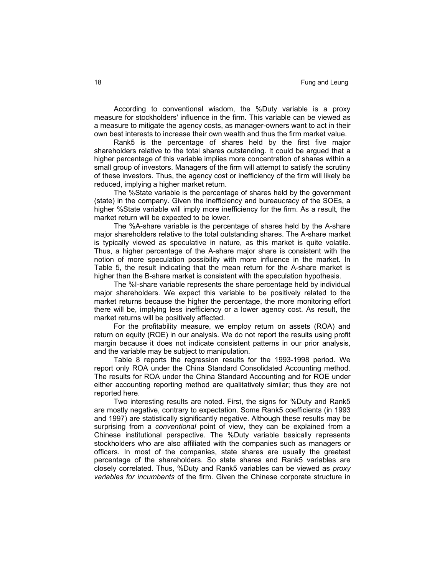According to conventional wisdom, the %Duty variable is a proxy measure for stockholders' influence in the firm. This variable can be viewed as a measure to mitigate the agency costs, as manager-owners want to act in their own best interests to increase their own wealth and thus the firm market value.

Rank5 is the percentage of shares held by the first five major shareholders relative to the total shares outstanding. It could be argued that a higher percentage of this variable implies more concentration of shares within a small group of investors. Managers of the firm will attempt to satisfy the scrutiny of these investors. Thus, the agency cost or inefficiency of the firm will likely be reduced, implying a higher market return.

The %State variable is the percentage of shares held by the government (state) in the company. Given the inefficiency and bureaucracy of the SOEs, a higher %State variable will imply more inefficiency for the firm. As a result, the market return will be expected to be lower.

The %A-share variable is the percentage of shares held by the A-share major shareholders relative to the total outstanding shares. The A-share market is typically viewed as speculative in nature, as this market is quite volatile. Thus, a higher percentage of the A-share major share is consistent with the notion of more speculation possibility with more influence in the market. In Table 5, the result indicating that the mean return for the A-share market is higher than the B-share market is consistent with the speculation hypothesis.

The %I-share variable represents the share percentage held by individual major shareholders. We expect this variable to be positively related to the market returns because the higher the percentage, the more monitoring effort there will be, implying less inefficiency or a lower agency cost. As result, the market returns will be positively affected.

For the profitability measure, we employ return on assets (ROA) and return on equity (ROE) in our analysis. We do not report the results using profit margin because it does not indicate consistent patterns in our prior analysis, and the variable may be subject to manipulation.

Table 8 reports the regression results for the 1993-1998 period. We report only ROA under the China Standard Consolidated Accounting method. The results for ROA under the China Standard Accounting and for ROE under either accounting reporting method are qualitatively similar; thus they are not reported here.

Two interesting results are noted. First, the signs for %Duty and Rank5 are mostly negative, contrary to expectation. Some Rank5 coefficients (in 1993 and 1997) are statistically significantly negative. Although these results may be surprising from a *conventional* point of view, they can be explained from a Chinese institutional perspective. The %Duty variable basically represents stockholders who are also affiliated with the companies such as managers or officers. In most of the companies, state shares are usually the greatest percentage of the shareholders. So state shares and Rank5 variables are closely correlated. Thus, %Duty and Rank5 variables can be viewed as *proxy variables for incumbents* of the firm. Given the Chinese corporate structure in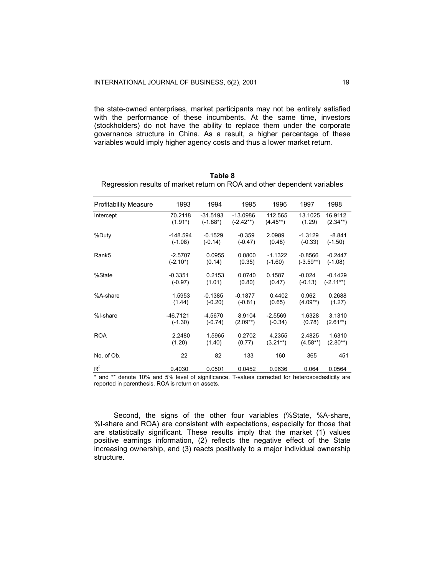the state-owned enterprises, market participants may not be entirely satisfied with the performance of these incumbents. At the same time, investors (stockholders) do not have the ability to replace them under the corporate governance structure in China. As a result, a higher percentage of these variables would imply higher agency costs and thus a lower market return.

| <b>Profitability Measure</b> | 1993        | 1994        | 1995        | 1996       | 1997        | 1998        |
|------------------------------|-------------|-------------|-------------|------------|-------------|-------------|
| Intercept                    | 70.2118     | $-31.5193$  | $-13.0986$  | 112.565    | 13.1025     | 16.9112     |
|                              | $(1.91^*)$  | $(-1.88^*)$ | $(-2.42**)$ | $(4.45**)$ | (1.29)      | $(2.34**)$  |
| %Duty                        | $-148.594$  | $-0.1529$   | $-0.359$    | 2.0989     | $-1.3129$   | $-8.841$    |
|                              | $(-1.08)$   | $(-0.14)$   | $(-0.47)$   | (0.48)     | $(-0.33)$   | $(-1.50)$   |
| Rank5                        | $-2.5707$   | 0.0955      | 0.0800      | $-1.1322$  | $-0.8566$   | $-0.2447$   |
|                              | $(-2.10^*)$ | (0.14)      | (0.35)      | $(-1.60)$  | $(-3.59**)$ | $(-1.08)$   |
| %State                       | $-0.3351$   | 0.2153      | 0.0740      | 0.1587     | $-0.024$    | $-0.1429$   |
|                              | $(-0.97)$   | (1.01)      | (0.80)      | (0.47)     | $(-0.13)$   | $(-2.11**)$ |
| %A-share                     | 1.5953      | $-0.1385$   | $-0.1877$   | 0.4402     | 0.962       | 0.2688      |
|                              | (1.44)      | $(-0.20)$   | $(-0.81)$   | (0.65)     | $(4.09**)$  | (1.27)      |
| %I-share                     | $-46.7121$  | $-4.5670$   | 8.9104      | $-2.5569$  | 1.6328      | 3.1310      |
|                              | $(-1.30)$   | $(-0.74)$   | $(2.09**)$  | $(-0.34)$  | (0.78)      | $(2.61**)$  |
| <b>ROA</b>                   | 2.2480      | 1.5965      | 0.2702      | 4.2355     | 2.4825      | 1.6310      |
|                              | (1.20)      | (1.40)      | (0.77)      | $(3.21**)$ | $(4.58**)$  | $(2.80**)$  |
| No. of Ob.                   | 22          | 82          | 133         | 160        | 365         | 451         |
| $R^2$                        | 0.4030      | 0.0501      | 0.0452      | 0.0636     | 0.064       | 0.0564      |

**Table 8**  Regression results of market return on ROA and other dependent variables

\* and \*\* denote 10% and 5% level of significance. T-values corrected for heteroscedasticity are reported in parenthesis. ROA is return on assets.

Second, the signs of the other four variables (%State, %A-share, %I-share and ROA) are consistent with expectations, especially for those that are statistically significant. These results imply that the market (1) values positive earnings information, (2) reflects the negative effect of the State increasing ownership, and (3) reacts positively to a major individual ownership structure.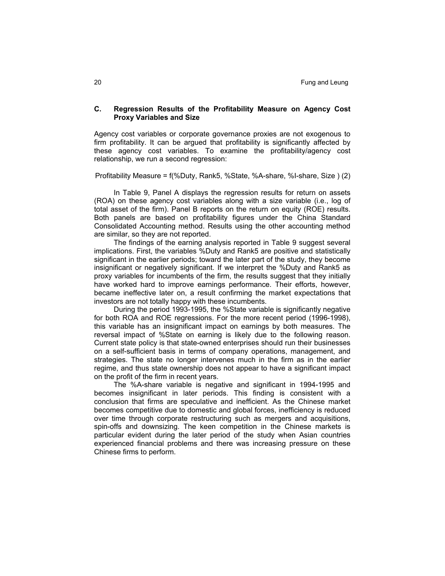## **C. Regression Results of the Profitability Measure on Agency Cost Proxy Variables and Size**

Agency cost variables or corporate governance proxies are not exogenous to firm profitability. It can be argued that profitability is significantly affected by these agency cost variables. To examine the profitability/agency cost relationship, we run a second regression:

Profitability Measure = f(%Duty, Rank5, %State, %A-share, %I-share, Size ) (2)

In Table 9, Panel A displays the regression results for return on assets (ROA) on these agency cost variables along with a size variable (i.e., log of total asset of the firm). Panel B reports on the return on equity (ROE) results. Both panels are based on profitability figures under the China Standard Consolidated Accounting method. Results using the other accounting method are similar, so they are not reported.

The findings of the earning analysis reported in Table 9 suggest several implications. First, the variables %Duty and Rank5 are positive and statistically significant in the earlier periods; toward the later part of the study, they become insignificant or negatively significant. If we interpret the %Duty and Rank5 as proxy variables for incumbents of the firm, the results suggest that they initially have worked hard to improve earnings performance. Their efforts, however, became ineffective later on, a result confirming the market expectations that investors are not totally happy with these incumbents.

During the period 1993-1995, the %State variable is significantly negative for both ROA and ROE regressions. For the more recent period (1996-1998), this variable has an insignificant impact on earnings by both measures. The reversal impact of %State on earning is likely due to the following reason. Current state policy is that state-owned enterprises should run their businesses on a self-sufficient basis in terms of company operations, management, and strategies. The state no longer intervenes much in the firm as in the earlier regime, and thus state ownership does not appear to have a significant impact on the profit of the firm in recent years.

The %A-share variable is negative and significant in 1994-1995 and becomes insignificant in later periods. This finding is consistent with a conclusion that firms are speculative and inefficient. As the Chinese market becomes competitive due to domestic and global forces, inefficiency is reduced over time through corporate restructuring such as mergers and acquisitions, spin-offs and downsizing. The keen competition in the Chinese markets is particular evident during the later period of the study when Asian countries experienced financial problems and there was increasing pressure on these Chinese firms to perform.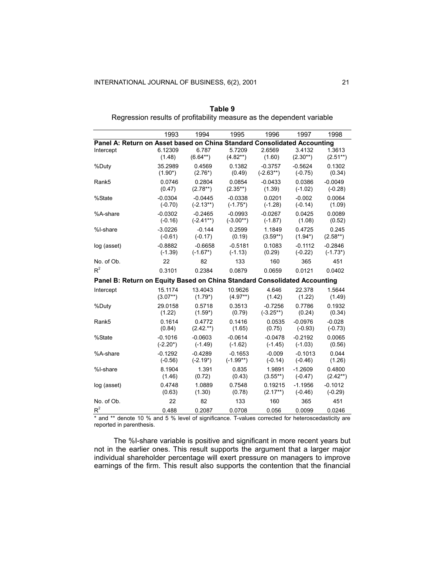| 1993        | 1994                | 1995                 | 1996        | 1997                 | 1998                                                                                                                                                  |
|-------------|---------------------|----------------------|-------------|----------------------|-------------------------------------------------------------------------------------------------------------------------------------------------------|
|             |                     |                      |             |                      |                                                                                                                                                       |
| (1.48)      | 6.787<br>$(6.64**)$ | 5.7209<br>$(4.82**)$ | (1.60)      | 3.4132<br>$(2.30**)$ | 1.3613<br>$(2.51**)$                                                                                                                                  |
| 35.2989     | 0.4569              | 0.1382               | $-0.3757$   | $-0.5624$            | 0.1302                                                                                                                                                |
| $(1.90^*)$  | $(2.76*)$           | (0.49)               | $(-2.63**)$ | $(-0.75)$            | (0.34)                                                                                                                                                |
| 0.0746      | 0.2804              | 0.0854               | $-0.0433$   | 0.0386               | $-0.0049$                                                                                                                                             |
| (0.47)      | $(2.78**)$          | $(2.35**)$           | (1.39)      | $(-1.02)$            | $(-0.28)$                                                                                                                                             |
| $-0.0304$   | $-0.0445$           | $-0.0338$            | 0.0201      | $-0.002$             | 0.0064                                                                                                                                                |
| $(-0.70)$   | $(-2.13**)$         | $(-1.75^*)$          | $(-1.28)$   | $(-0.14)$            | (1.09)                                                                                                                                                |
| $-0.0302$   | $-0.2465$           | $-0.0993$            | $-0.0267$   | 0.0425               | 0.0089                                                                                                                                                |
| $(-0.16)$   | $(-2.41**)$         | $(-3.00**)$          | $(-1.87)$   | (1.08)               | (0.52)                                                                                                                                                |
| $-3.0226$   | $-0.144$            | 0.2599               | 1.1849      | 0.4725               | 0.245                                                                                                                                                 |
| $(-0.61)$   | $(-0.17)$           | (0.19)               | $(3.59**)$  | $(1.94^*)$           | $(2.58**)$                                                                                                                                            |
| $-0.8882$   | $-0.6658$           | $-0.5181$            | 0.1083      | $-0.1112$            | $-0.2846$                                                                                                                                             |
| $(-1.39)$   | $(-1.67*)$          | $(-1.13)$            | (0.29)      | $(-0.22)$            | $(-1.73^*)$                                                                                                                                           |
| 22          | 82                  | 133                  | 160         | 365                  | 451                                                                                                                                                   |
| 0.3101      | 0.2384              | 0.0879               | 0.0659      | 0.0121               | 0.0402                                                                                                                                                |
|             |                     |                      |             |                      |                                                                                                                                                       |
| 15.1174     | 13.4043             | 10.9626              | 4.646       | 22.378               | 1.5644                                                                                                                                                |
| $(3.07**)$  | $(1.79^*)$          | $(4.97**)$           | (1.42)      | (1.22)               | (1.49)                                                                                                                                                |
| 29.0158     | 0.5718              | 0.3513               | $-0.7256$   | 0.7786               | 0.1932                                                                                                                                                |
| (1.22)      | $(1.59^{*})$        | (0.79)               | $(-3.25**)$ | (0.24)               | (0.34)                                                                                                                                                |
| 0.1614      | 0.4772              | 0.1416               | 0.0535      | $-0.0976$            | $-0.028$                                                                                                                                              |
| (0.84)      | $(2.42.**)$         | (1.65)               | (0.75)      | $(-0.93)$            | $(-0.73)$                                                                                                                                             |
| $-0.1016$   | $-0.0603$           | $-0.0614$            | $-0.0478$   | $-0.2192$            | 0.0065                                                                                                                                                |
| $(-2.20^*)$ | $(-1.49)$           | $(-1.62)$            | $(-1.45)$   | $(-1.03)$            | (0.56)                                                                                                                                                |
| $-0.1292$   | $-0.4289$           | $-0.1653$            | $-0.009$    | $-0.1013$            | 0.044                                                                                                                                                 |
| $(-0.56)$   | $(-2.19^*)$         | $(-1.99**)$          | $(-0.14)$   | $(-0.46)$            | (1.26)                                                                                                                                                |
| 8.1904      | 1.391               | 0.835                | 1.9891      | $-1.2609$            | 0.4800                                                                                                                                                |
| (1.46)      | (0.72)              | (0.43)               | $(3.55**)$  | $(-0.47)$            | $(2.42**)$                                                                                                                                            |
| 0.4748      | 1.0889              | 0.7548               | 0.19215     | $-1.1956$            | $-0.1012$                                                                                                                                             |
| (0.63)      | (1.30)              | (0.78)               | $(2.17**)$  | $(-0.46)$            | $(-0.29)$                                                                                                                                             |
| 22          | 82                  | 133                  | 160         | 365                  | 451                                                                                                                                                   |
| 0.488       | 0.2087              | 0.0708               | 0.056       | 0.0099               | 0.0246                                                                                                                                                |
|             | 6.12309             |                      |             | 2.6569               | Panel A: Return on Asset based on China Standard Consolidated Accounting<br>Panel B: Return on Equity Based on China Standard Consolidated Accounting |

**Table 9**  Regression results of profitability measure as the dependent variable

\* and \*\* denote 10 % and 5 % level of significance. T-values corrected for heteroscedasticity are reported in parenthesis.

The %I-share variable is positive and significant in more recent years but not in the earlier ones. This result supports the argument that a larger major individual shareholder percentage will exert pressure on managers to improve earnings of the firm. This result also supports the contention that the financial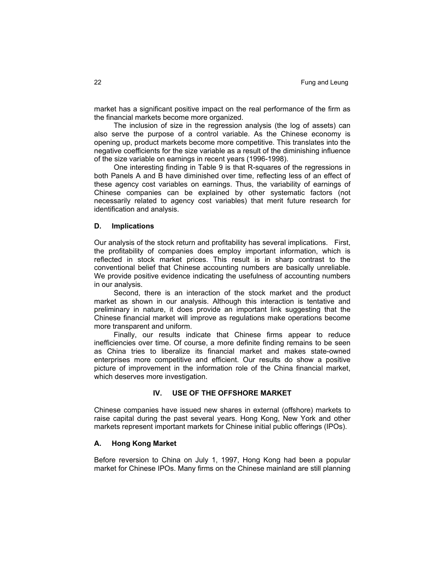market has a significant positive impact on the real performance of the firm as the financial markets become more organized.

The inclusion of size in the regression analysis (the log of assets) can also serve the purpose of a control variable. As the Chinese economy is opening up, product markets become more competitive. This translates into the negative coefficients for the size variable as a result of the diminishing influence of the size variable on earnings in recent years (1996-1998).

One interesting finding in Table 9 is that R-squares of the regressions in both Panels A and B have diminished over time, reflecting less of an effect of these agency cost variables on earnings. Thus, the variability of earnings of Chinese companies can be explained by other systematic factors (not necessarily related to agency cost variables) that merit future research for identification and analysis.

#### **D. Implications**

Our analysis of the stock return and profitability has several implications. First, the profitability of companies does employ important information, which is reflected in stock market prices. This result is in sharp contrast to the conventional belief that Chinese accounting numbers are basically unreliable. We provide positive evidence indicating the usefulness of accounting numbers in our analysis.

Second, there is an interaction of the stock market and the product market as shown in our analysis. Although this interaction is tentative and preliminary in nature, it does provide an important link suggesting that the Chinese financial market will improve as regulations make operations become more transparent and uniform.

Finally, our results indicate that Chinese firms appear to reduce inefficiencies over time. Of course, a more definite finding remains to be seen as China tries to liberalize its financial market and makes state-owned enterprises more competitive and efficient. Our results do show a positive picture of improvement in the information role of the China financial market, which deserves more investigation.

## **IV. USE OF THE OFFSHORE MARKET**

Chinese companies have issued new shares in external (offshore) markets to raise capital during the past several years. Hong Kong, New York and other markets represent important markets for Chinese initial public offerings (IPOs).

## **A. Hong Kong Market**

Before reversion to China on July 1, 1997, Hong Kong had been a popular market for Chinese IPOs. Many firms on the Chinese mainland are still planning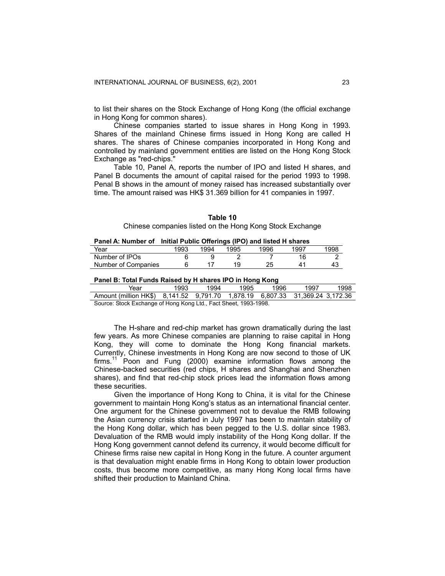to list their shares on the Stock Exchange of Hong Kong (the official exchange in Hong Kong for common shares).

Chinese companies started to issue shares in Hong Kong in 1993. Shares of the mainland Chinese firms issued in Hong Kong are called H shares. The shares of Chinese companies incorporated in Hong Kong and controlled by mainland government entities are listed on the Hong Kong Stock Exchange as "red-chips."

Table 10, Panel A, reports the number of IPO and listed H shares, and Panel B documents the amount of capital raised for the period 1993 to 1998. Penal B shows in the amount of money raised has increased substantially over time. The amount raised was HK\$ 31.369 billion for 41 companies in 1997.

| Table 10 |                                                          |
|----------|----------------------------------------------------------|
|          | Chinese companies listed on the Hong Kong Stock Exchange |

#### **Panel A: Number of Initial Public Offerings (IPO) and listed H shares**

| Year                | 1993 | 1994 | 1995 | 1996 | 1997 | 1998 |
|---------------------|------|------|------|------|------|------|
| Number of IPOs      |      |      |      |      |      |      |
| Number of Companies |      |      | 1 Q  |      | 41   | .4ಎ  |
|                     |      |      |      |      |      |      |

#### **Panel B: Total Funds Raised by H shares IPO in Hong Kong**

| Year                                                                         | 1993 | 1994 | 1995 | 1996 | 1997 | 1998 |  |
|------------------------------------------------------------------------------|------|------|------|------|------|------|--|
| Amount (million HK\$) 8.141.52 9.791.70 1.878.19 6.807.33 31.369.24 3.172.36 |      |      |      |      |      |      |  |
| Source: Stock Exchange of Hong Kong Ltd Eact Sheet 1003-1008                 |      |      |      |      |      |      |  |

irce: Stock Exchange of Hong Kong Ltd., Fact Sheet, 1993-1998.

The H-share and red-chip market has grown dramatically during the last few years. As more Chinese companies are planning to raise capital in Hong Kong, they will come to dominate the Hong Kong financial markets. Currently, Chinese investments in Hong Kong are now second to those of UK  $firms.<sup>11</sup>$  Poon and Fung (2000) examine information flows among the Chinese-backed securities (red chips, H shares and Shanghai and Shenzhen shares), and find that red-chip stock prices lead the information flows among these securities.

Given the importance of Hong Kong to China, it is vital for the Chinese government to maintain Hong Kong's status as an international financial center. One argument for the Chinese government not to devalue the RMB following the Asian currency crisis started in July 1997 has been to maintain stability of the Hong Kong dollar, which has been pegged to the U.S. dollar since 1983. Devaluation of the RMB would imply instability of the Hong Kong dollar. If the Hong Kong government cannot defend its currency, it would become difficult for Chinese firms raise new capital in Hong Kong in the future. A counter argument is that devaluation might enable firms in Hong Kong to obtain lower production costs, thus become more competitive, as many Hong Kong local firms have shifted their production to Mainland China.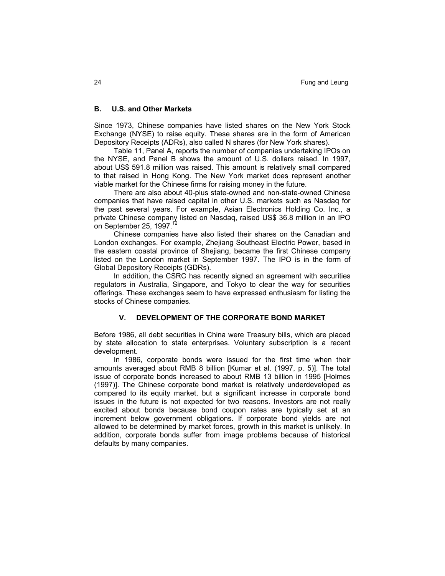## **B. U.S. and Other Markets**

Since 1973, Chinese companies have listed shares on the New York Stock Exchange (NYSE) to raise equity. These shares are in the form of American Depository Receipts (ADRs), also called N shares (for New York shares).

Table 11, Panel A, reports the number of companies undertaking IPOs on the NYSE, and Panel B shows the amount of U.S. dollars raised. In 1997, about US\$ 591.8 million was raised. This amount is relatively small compared to that raised in Hong Kong. The New York market does represent another viable market for the Chinese firms for raising money in the future.

There are also about 40-plus state-owned and non-state-owned Chinese companies that have raised capital in other U.S. markets such as Nasdaq for the past several years. For example, Asian Electronics Holding Co. Inc., a private Chinese company listed on Nasdaq, raised US\$ 36.8 million in an IPO on September 25, 1997.<sup>1</sup>

Chinese companies have also listed their shares on the Canadian and London exchanges. For example, Zhejiang Southeast Electric Power, based in the eastern coastal province of Shejiang, became the first Chinese company listed on the London market in September 1997. The IPO is in the form of Global Depository Receipts (GDRs).

In addition, the CSRC has recently signed an agreement with securities regulators in Australia, Singapore, and Tokyo to clear the way for securities offerings. These exchanges seem to have expressed enthusiasm for listing the stocks of Chinese companies.

## **V. DEVELOPMENT OF THE CORPORATE BOND MARKET**

Before 1986, all debt securities in China were Treasury bills, which are placed by state allocation to state enterprises. Voluntary subscription is a recent development.

In 1986, corporate bonds were issued for the first time when their amounts averaged about RMB 8 billion [Kumar et al. (1997, p. 5)]. The total issue of corporate bonds increased to about RMB 13 billion in 1995 [Holmes (1997)]. The Chinese corporate bond market is relatively underdeveloped as compared to its equity market, but a significant increase in corporate bond issues in the future is not expected for two reasons. Investors are not really excited about bonds because bond coupon rates are typically set at an increment below government obligations. If corporate bond yields are not allowed to be determined by market forces, growth in this market is unlikely. In addition, corporate bonds suffer from image problems because of historical defaults by many companies.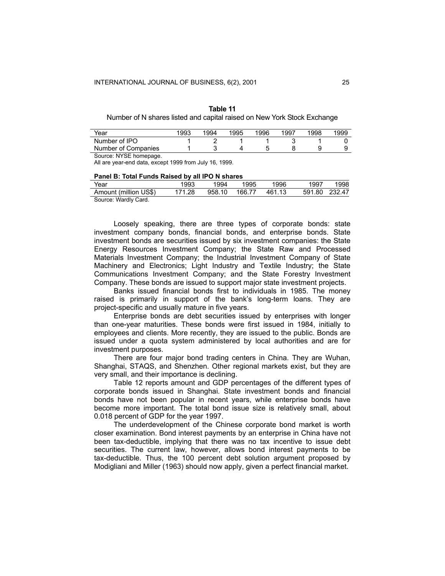| Table 11                                                                |
|-------------------------------------------------------------------------|
| Number of N shares listed and capital raised on New York Stock Exchange |

| Year                   | 1993 | 1994 | 1995 | 1996 | 1997 | 1998 | 1999 |
|------------------------|------|------|------|------|------|------|------|
| Number of IPO          |      |      |      |      |      |      |      |
| Number of Companies    |      |      |      |      |      |      |      |
| Source: NYSE homepage. |      |      |      |      |      |      |      |

All are year-end data, except 1999 from July 16, 1999.

#### **Panel B: Total Funds Raised by all IPO N shares**

| Year                  | 1993   | 1994   | 1995   | 1996   | 1997   | 1998   |
|-----------------------|--------|--------|--------|--------|--------|--------|
| Amount (million US\$) | 171.28 | 958.10 | 166.77 | 461.13 | 591.80 | 232.47 |
| Course: Wardly Card   |        |        |        |        |        |        |

Source: Wardly Card.

Loosely speaking, there are three types of corporate bonds: state investment company bonds, financial bonds, and enterprise bonds. State investment bonds are securities issued by six investment companies: the State Energy Resources Investment Company; the State Raw and Processed Materials Investment Company; the Industrial Investment Company of State Machinery and Electronics; Light Industry and Textile Industry; the State Communications Investment Company; and the State Forestry Investment Company. These bonds are issued to support major state investment projects.

Banks issued financial bonds first to individuals in 1985. The money raised is primarily in support of the bank's long-term loans. They are project-specific and usually mature in five years.

Enterprise bonds are debt securities issued by enterprises with longer than one-year maturities. These bonds were first issued in 1984, initially to employees and clients. More recently, they are issued to the public. Bonds are issued under a quota system administered by local authorities and are for investment purposes.

There are four major bond trading centers in China. They are Wuhan, Shanghai, STAQS, and Shenzhen. Other regional markets exist, but they are very small, and their importance is declining.

Table 12 reports amount and GDP percentages of the different types of corporate bonds issued in Shanghai. State investment bonds and financial bonds have not been popular in recent years, while enterprise bonds have become more important. The total bond issue size is relatively small, about 0.018 percent of GDP for the year 1997.

The underdevelopment of the Chinese corporate bond market is worth closer examination. Bond interest payments by an enterprise in China have not been tax-deductible, implying that there was no tax incentive to issue debt securities. The current law, however, allows bond interest payments to be tax-deductible. Thus, the 100 percent debt solution argument proposed by Modigliani and Miller (1963) should now apply, given a perfect financial market.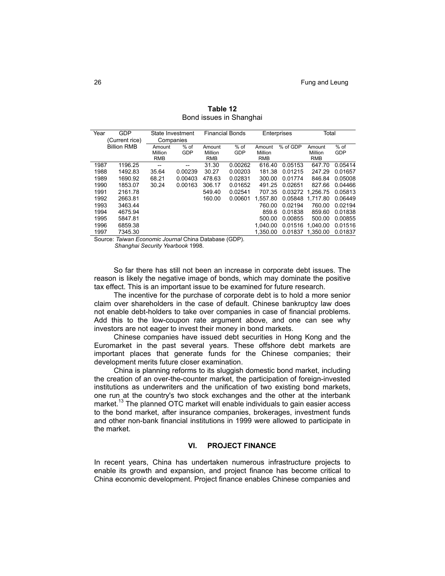| Year | GDP<br>(Current rice) | State Investment<br>Companies |         |            | <b>Financial Bonds</b> | Enterprises |          | Total      |            |
|------|-----------------------|-------------------------------|---------|------------|------------------------|-------------|----------|------------|------------|
|      | <b>Billion RMB</b>    | Amount                        | $%$ of  | Amount     | $%$ of                 | Amount      | % of GDP | Amount     | $%$ of     |
|      |                       | Million                       | GDP     | Million    | GDP                    | Million     |          | Million    | <b>GDP</b> |
|      |                       | <b>RMB</b>                    |         | <b>RMB</b> |                        | <b>RMB</b>  |          | <b>RMB</b> |            |
| 1987 | 1196.25               | --                            | --      | 31.30      | 0.00262                | 616.40      | 0.05153  | 647.70     | 0.05414    |
| 1988 | 1492.83               | 35.64                         | 0.00239 | 30.27      | 0.00203                | 181.38      | 0.01215  | 247.29     | 0.01657    |
| 1989 | 1690.92               | 68.21                         | 0.00403 | 478.63     | 0.02831                | 300.00      | 0.01774  | 846.84     | 0.05008    |
| 1990 | 1853.07               | 30.24                         | 0.00163 | 306.17     | 0.01652                | 491.25      | 0.02651  | 827.66     | 0.04466    |
| 1991 | 2161.78               |                               |         | 549.40     | 0.02541                | 707.35      | 0.03272  | 1.256.75   | 0.05813    |
| 1992 | 2663.81               |                               |         | 160.00     | 0.00601                | 1.557.80    | 0.05848  | 1.717.80   | 0.06449    |
| 1993 | 3463.44               |                               |         |            |                        | 760.00      | 0.02194  | 760.00     | 0.02194    |
| 1994 | 4675.94               |                               |         |            |                        | 859.6       | 0.01838  | 859.60     | 0.01838    |
| 1995 | 5847.81               |                               |         |            |                        | 500.00      | 0.00855  | 500.00     | 0.00855    |
| 1996 | 6859.38               |                               |         |            |                        | 1.040.00    | 0.01516  | 1.040.00   | 0.01516    |
| 1997 | 7345.30               |                               |         |            |                        | 1.350.00    | 0.01837  | 1.350.00   | 0.01837    |

**Table 12**  Bond issues in Shanghai

Source: *Taiwan Economic Journal* China Database (GDP).

*Shanghai Security Yearbook* 1998.

So far there has still not been an increase in corporate debt issues. The reason is likely the negative image of bonds, which may dominate the positive tax effect. This is an important issue to be examined for future research.

The incentive for the purchase of corporate debt is to hold a more senior claim over shareholders in the case of default. Chinese bankruptcy law does not enable debt-holders to take over companies in case of financial problems. Add this to the low-coupon rate argument above, and one can see why investors are not eager to invest their money in bond markets.

Chinese companies have issued debt securities in Hong Kong and the Euromarket in the past several years. These offshore debt markets are important places that generate funds for the Chinese companies; their development merits future closer examination.

China is planning reforms to its sluggish domestic bond market, including the creation of an over-the-counter market, the participation of foreign-invested institutions as underwriters and the unification of two existing bond markets, one run at the country's two stock exchanges and the other at the interbank market.<sup>13</sup> The planned OTC market will enable individuals to gain easier access to the bond market, after insurance companies, brokerages, investment funds and other non-bank financial institutions in 1999 were allowed to participate in the market.

#### **VI. PROJECT FINANCE**

In recent years, China has undertaken numerous infrastructure projects to enable its growth and expansion, and project finance has become critical to China economic development. Project finance enables Chinese companies and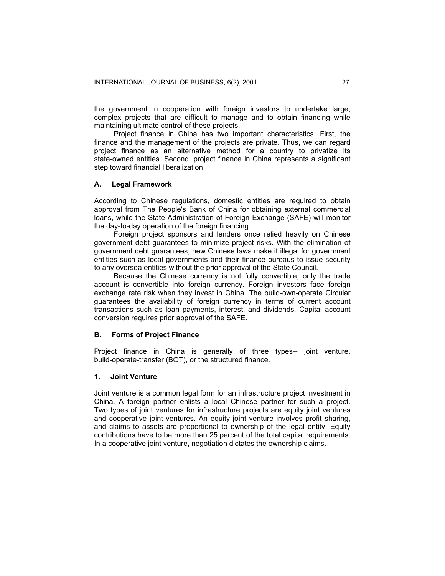the government in cooperation with foreign investors to undertake large, complex projects that are difficult to manage and to obtain financing while maintaining ultimate control of these projects.

Project finance in China has two important characteristics. First, the finance and the management of the projects are private. Thus, we can regard project finance as an alternative method for a country to privatize its state-owned entities. Second, project finance in China represents a significant step toward financial liberalization

#### **A. Legal Framework**

According to Chinese regulations, domestic entities are required to obtain approval from The People's Bank of China for obtaining external commercial loans, while the State Administration of Foreign Exchange (SAFE) will monitor the day-to-day operation of the foreign financing.

Foreign project sponsors and lenders once relied heavily on Chinese government debt guarantees to minimize project risks. With the elimination of government debt guarantees, new Chinese laws make it illegal for government entities such as local governments and their finance bureaus to issue security to any oversea entities without the prior approval of the State Council.

Because the Chinese currency is not fully convertible, only the trade account is convertible into foreign currency. Foreign investors face foreign exchange rate risk when they invest in China. The build-own-operate Circular guarantees the availability of foreign currency in terms of current account transactions such as loan payments, interest, and dividends. Capital account conversion requires prior approval of the SAFE.

## **B. Forms of Project Finance**

Project finance in China is generally of three types-- joint venture, build-operate-transfer (BOT), or the structured finance.

#### **1. Joint Venture**

Joint venture is a common legal form for an infrastructure project investment in China. A foreign partner enlists a local Chinese partner for such a project. Two types of joint ventures for infrastructure projects are equity joint ventures and cooperative joint ventures. An equity joint venture involves profit sharing, and claims to assets are proportional to ownership of the legal entity. Equity contributions have to be more than 25 percent of the total capital requirements. In a cooperative joint venture, negotiation dictates the ownership claims.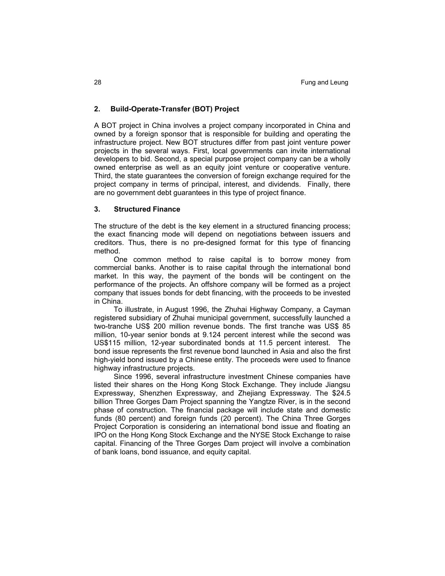## **2. Build-Operate-Transfer (BOT) Project**

A BOT project in China involves a project company incorporated in China and owned by a foreign sponsor that is responsible for building and operating the infrastructure project. New BOT structures differ from past joint venture power projects in the several ways. First, local governments can invite international developers to bid. Second, a special purpose project company can be a wholly owned enterprise as well as an equity joint venture or cooperative venture. Third, the state guarantees the conversion of foreign exchange required for the project company in terms of principal, interest, and dividends. Finally, there are no government debt guarantees in this type of project finance.

## **3. Structured Finance**

The structure of the debt is the key element in a structured financing process; the exact financing mode will depend on negotiations between issuers and creditors. Thus, there is no pre-designed format for this type of financing method.

One common method to raise capital is to borrow money from commercial banks. Another is to raise capital through the international bond market. In this way, the payment of the bonds will be contingent on the performance of the projects. An offshore company will be formed as a project company that issues bonds for debt financing, with the proceeds to be invested in China.

To illustrate, in August 1996, the Zhuhai Highway Company, a Cayman registered subsidiary of Zhuhai municipal government, successfully launched a two-tranche US\$ 200 million revenue bonds. The first tranche was US\$ 85 million, 10-year senior bonds at 9.124 percent interest while the second was US\$115 million, 12-year subordinated bonds at 11.5 percent interest. The bond issue represents the first revenue bond launched in Asia and also the first high-yield bond issued by a Chinese entity. The proceeds were used to finance highway infrastructure projects.

Since 1996, several infrastructure investment Chinese companies have listed their shares on the Hong Kong Stock Exchange. They include Jiangsu Expressway, Shenzhen Expressway, and Zhejiang Expressway. The \$24.5 billion Three Gorges Dam Project spanning the Yangtze River, is in the second phase of construction. The financial package will include state and domestic funds (80 percent) and foreign funds (20 percent). The China Three Gorges Project Corporation is considering an international bond issue and floating an IPO on the Hong Kong Stock Exchange and the NYSE Stock Exchange to raise capital. Financing of the Three Gorges Dam project will involve a combination of bank loans, bond issuance, and equity capital.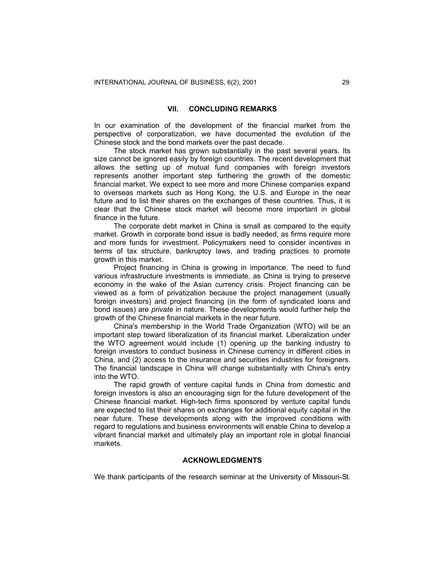## **VII. CONCLUDING REMARKS**

In our examination of the development of the financial market from the perspective of corporatization, we have documented the evolution of the Chinese stock and the bond markets over the past decade.

The stock market has grown substantially in the past several years. Its size cannot be ignored easily by foreign countries. The recent development that allows the setting up of mutual fund companies with foreign investors represents another important step furthering the growth of the domestic financial market. We expect to see more and more Chinese companies expand to overseas markets such as Hong Kong, the U.S. and Europe in the near future and to list their shares on the exchanges of these countries. Thus, it is clear that the Chinese stock market will become more important in global finance in the future.

The corporate debt market in China is small as compared to the equity market. Growth in corporate bond issue is badly needed, as firms require more and more funds for investment. Policymakers need to consider incentives in terms of tax structure, bankruptcy laws, and trading practices to promote growth in this market.

Project financing in China is growing in importance. The need to fund various infrastructure investments is immediate, as China is trying to preserve economy in the wake of the Asian currency crisis. Project financing can be viewed as a form of privatization because the project management (usually foreign investors) and project financing (in the form of syndicated loans and bond issues) are *private* in nature. These developments would further help the growth of the Chinese financial markets in the near future.

China's membership in the World Trade Organization (WTO) will be an important step toward liberalization of its financial market. Liberalization under the WTO agreement would include (1) opening up the banking industry to foreign investors to conduct business in Chinese currency in different cities in China, and (2) access to the insurance and securities industries for foreigners. The financial landscape in China will change substantially with China's entry into the WTO.

The rapid growth of venture capital funds in China from domestic and foreign investors is also an encouraging sign for the future development of the Chinese financial market. High-tech firms sponsored by venture capital funds are expected to list their shares on exchanges for additional equity capital in the near future. These developments along with the improved conditions with regard to regulations and business environments will enable China to develop a vibrant financial market and ultimately play an important role in global financial markets.

## **ACKNOWLEDGMENTS**

We thank participants of the research seminar at the University of Missouri-St.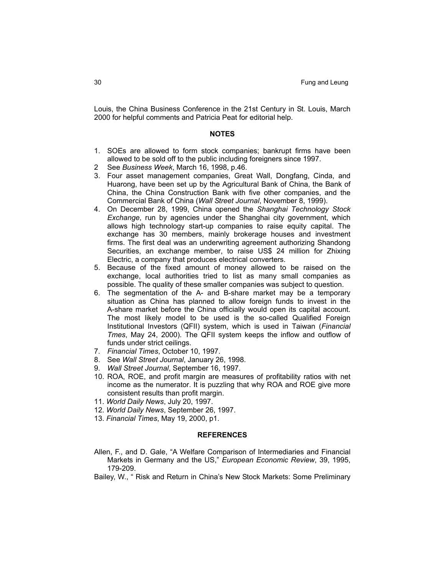Louis, the China Business Conference in the 21st Century in St. Louis, March 2000 for helpful comments and Patricia Peat for editorial help.

#### **NOTES**

- 1. SOEs are allowed to form stock companies; bankrupt firms have been allowed to be sold off to the public including foreigners since 1997.
- 2 See *Business Week*, March 16, 1998, p.46.
- 3. Four asset management companies, Great Wall, Dongfang, Cinda, and Huarong, have been set up by the Agricultural Bank of China, the Bank of China, the China Construction Bank with five other companies, and the Commercial Bank of China (*Wall Street Journal*, November 8, 1999).
- 4. On December 28, 1999, China opened the *Shanghai Technology Stock Exchange*, run by agencies under the Shanghai city government, which allows high technology start-up companies to raise equity capital. The exchange has 30 members, mainly brokerage houses and investment firms. The first deal was an underwriting agreement authorizing Shandong Securities, an exchange member, to raise US\$ 24 million for Zhixing Electric, a company that produces electrical converters.
- 5. Because of the fixed amount of money allowed to be raised on the exchange, local authorities tried to list as many small companies as possible. The quality of these smaller companies was subject to question.
- 6. The segmentation of the A- and B-share market may be a temporary situation as China has planned to allow foreign funds to invest in the A-share market before the China officially would open its capital account. The most likely model to be used is the so-called Qualified Foreign Institutional Investors (QFII) system, which is used in Taiwan (*Financial Tmes*, May 24, 2000). The QFII system keeps the inflow and outflow of funds under strict ceilings.
- 7. *Financial Times*, October 10, 1997.
- 8. See *Wall Street Journal*, January 26, 1998.
- 9. *Wall Street Journal*, September 16, 1997.
- 10. ROA, ROE, and profit margin are measures of profitability ratios with net income as the numerator. It is puzzling that why ROA and ROE give more consistent results than profit margin.
- 11. *World Daily News*, July 20, 1997.
- 12. *World Daily News*, September 26, 1997.
- 13. *Financial Times*, May 19, 2000, p1.

#### **REFERENCES**

Allen, F., and D. Gale, "A Welfare Comparison of Intermediaries and Financial Markets in Germany and the US," *European Economic Review*, 39, 1995, 179-209.

Bailey, W., " Risk and Return in China's New Stock Markets: Some Preliminary